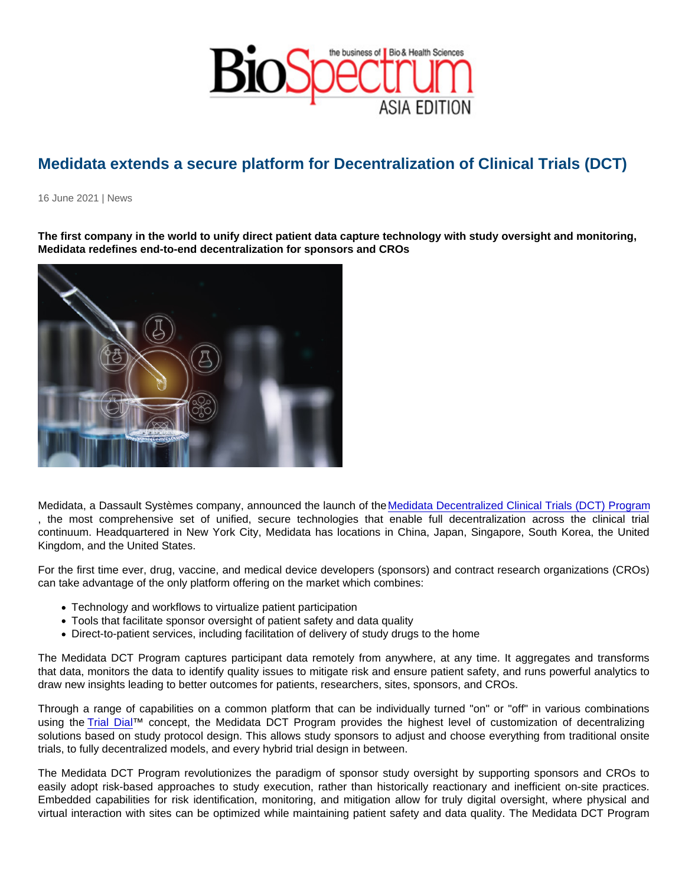## Medidata extends a secure platform for Decentralization of Clinical Trials (DCT)

16 June 2021 | News

The first company in the world to unify direct patient data capture technology with study oversight and monitoring, Medidata redefines end-to-end decentralization for sponsors and CROs

Medidata, a Dassault Systèmes company, announced the launch of the [Medidata Decentralized Clinical Trials \(DCT\) Program](https://www.medidata.com/en/clinical-trial-solutions/virtual-clinical-trials) , the most comprehensive set of unified, secure technologies that enable full decentralization across the clinical trial continuum. Headquartered in New York City, Medidata has locations in China, Japan, Singapore, South Korea, the United Kingdom, and the United States.

For the first time ever, drug, vaccine, and medical device developers (sponsors) and contract research organizations (CROs) can take advantage of the only platform offering on the market which combines:

- Technology and workflows to virtualize patient participation
- Tools that facilitate sponsor oversight of patient safety and data quality
- Direct-to-patient services, including facilitation of delivery of study drugs to the home

The Medidata DCT Program captures participant data remotely from anywhere, at any time. It aggregates and transforms that data, monitors the data to identify quality issues to mitigate risk and ensure patient safety, and runs powerful analytics to draw new insights leading to better outcomes for patients, researchers, sites, sponsors, and CROs.

Through a range of capabilities on a common platform that can be individually turned "on" or "off" in various combinations using the [Trial Dial™](https://www.medidata.com/wp-content/uploads/2021/06/DCT-Program-Fact-sheet-June-21-1.pdf) concept, the Medidata DCT Program provides the highest level of customization of decentralizing solutions based on study protocol design. This allows study sponsors to adjust and choose everything from traditional onsite trials, to fully decentralized models, and every hybrid trial design in between.

The Medidata DCT Program revolutionizes the paradigm of sponsor study oversight by supporting sponsors and CROs to easily adopt risk-based approaches to study execution, rather than historically reactionary and inefficient on-site practices. Embedded capabilities for risk identification, monitoring, and mitigation allow for truly digital oversight, where physical and virtual interaction with sites can be optimized while maintaining patient safety and data quality. The Medidata DCT Program